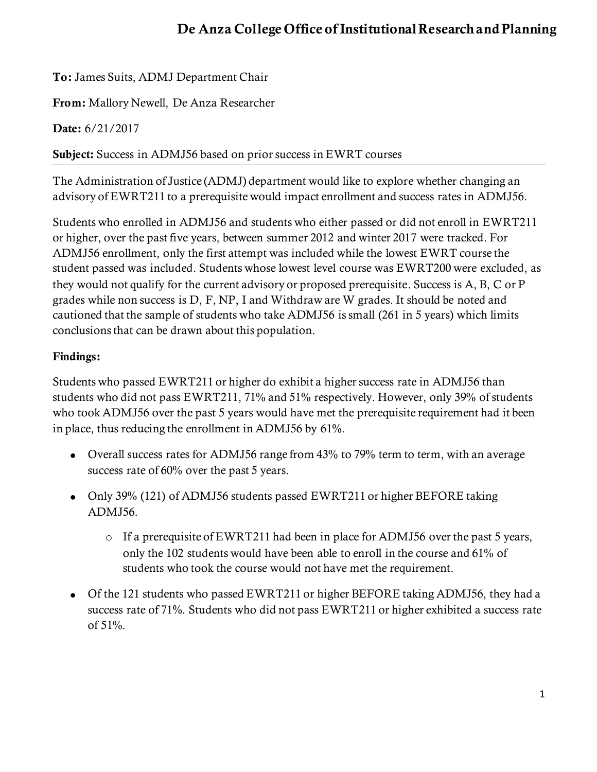## **De Anza College Office of Institutional Research and Planning**

**To:** James Suits, ADMJ Department Chair

**From:** Mallory Newell, De Anza Researcher

**Date:** 6/21/2017

**Subject:** Success in ADMJ56 based on prior success in EWRT courses

The Administration of Justice (ADMJ) department would like to explore whether changing an advisory of EWRT211 to a prerequisite would impact enrollment and success rates in ADMJ56.

Students who enrolled in ADMJ56 and students who either passed or did not enroll in EWRT211 or higher, over the past five years, between summer 2012 and winter 2017 were tracked. For ADMJ56 enrollment, only the first attempt was included while the lowest EWRT course the student passed was included. Students whose lowest level course was EWRT200 were excluded, as they would not qualify for the current advisory or proposed prerequisite. Success is A, B, C or P grades while non success is D, F, NP, I and Withdraw are W grades. It should be noted and cautioned that the sample of students who take ADMJ56 is small (261 in 5 years) which limits conclusions that can be drawn about this population.

## **Findings:**

Students who passed EWRT211 or higher do exhibit a higher success rate in ADMJ56 than students who did not pass EWRT211, 71% and 51% respectively. However, only 39% of students who took ADMJ56 over the past 5 years would have met the prerequisite requirement had it been in place, thus reducing the enrollment in ADMJ56 by 61%.

- Overall success rates for ADMJ56 range from 43% to 79% term to term, with an average success rate of 60% over the past 5 years.
- Only 39% (121) of ADMJ56 students passed EWRT211 or higher BEFORE taking ADMJ56.
	- o If a prerequisite of EWRT211 had been in place for ADMJ56 over the past 5 years, only the 102 students would have been able to enroll in the course and 61% of students who took the course would not have met the requirement.
- Of the 121 students who passed EWRT211 or higher BEFORE taking ADMJ56, they had a success rate of 71%. Students who did not pass EWRT211 or higher exhibited a success rate of 51%.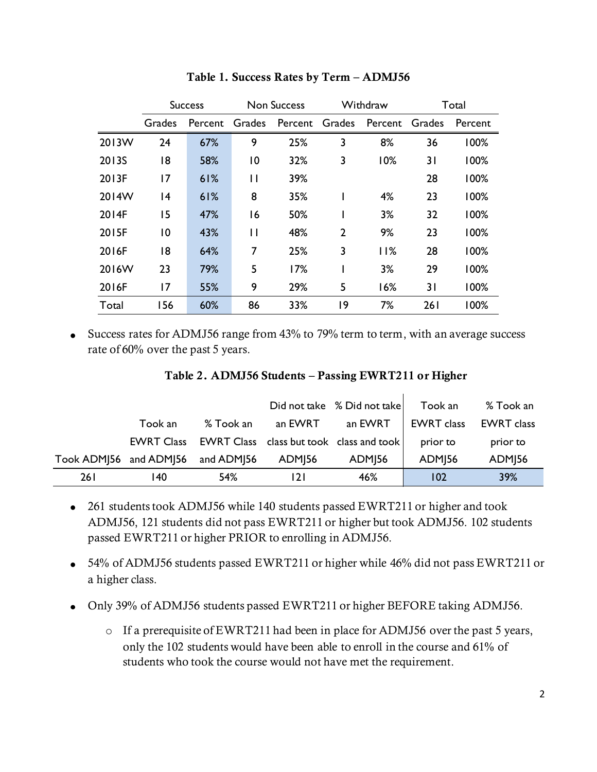|       | <b>Success</b> |         | <b>Non Success</b> |                |                | Withdraw       | Total |         |  |
|-------|----------------|---------|--------------------|----------------|----------------|----------------|-------|---------|--|
|       | Grades         | Percent | Grades             | Percent Grades |                | Percent Grades |       | Percent |  |
| 2013W | 24             | 67%     | 9                  | 25%            | 3              | 8%             | 36    | 100%    |  |
| 2013S | 18             | 58%     | $\overline{0}$     | 32%            | 3              | 10%            | 31    | 100%    |  |
| 2013F | 17             | 61%     | $\mathsf{H}$       | 39%            |                |                | 28    | 100%    |  |
| 2014W | 14             | 61%     | 8                  | 35%            |                | 4%             | 23    | 100%    |  |
| 2014F | 15             | 47%     | 16                 | 50%            |                | 3%             | 32    | 100%    |  |
| 2015F | $\overline{0}$ | 43%     | П                  | 48%            | $\overline{2}$ | 9%             | 23    | 100%    |  |
| 2016F | 18             | 64%     | 7                  | 25%            | 3              | 11%            | 28    | 100%    |  |
| 2016W | 23             | 79%     | 5                  | 17%            |                | 3%             | 29    | 100%    |  |
| 2016F | 17             | 55%     | 9                  | 29%            | 5              | 16%            | 31    | 100%    |  |
| Total | 156            | 60%     | 86                 | 33%            | 19             | 7%             | 261   | 100%    |  |

**Table 1. Success Rates by Term – ADMJ56**

Success rates for ADMJ56 range from 43% to 79% term to term, with an average success rate of 60% over the past 5 years.

|                        |                   |            |                           | Did not take % Did not take              | Took an                  | % Took an          |
|------------------------|-------------------|------------|---------------------------|------------------------------------------|--------------------------|--------------------|
|                        | Took an           | % Took an  | an EWRT                   | an EWRT                                  | <b>EWRT</b> class        | <b>EWRT</b> class  |
|                        | <b>EWRT Class</b> |            |                           | EWRT Class class but took class and took | prior to                 | prior to           |
| Took ADM 56 and ADM 56 |                   | and ADMJ56 | <b>ADM</b> <sub>156</sub> | ADM <sub>156</sub>                       | <b>ADM<sub>156</sub></b> | ADM <sub>156</sub> |
| 261                    | 140               | 54%        | 121                       | 46%                                      | 102                      | 39%                |

- 261 students took ADMJ56 while 140 students passed EWRT211 or higher and took ADMJ56, 121 students did not pass EWRT211 or higher but took ADMJ56. 102 students passed EWRT211 or higher PRIOR to enrolling in ADMJ56.
- 54% of ADMJ56 students passed EWRT211 or higher while 46% did not pass EWRT211 or a higher class.
- Only 39% of ADMJ56 students passed EWRT211 or higher BEFORE taking ADMJ56.
	- o If a prerequisite of EWRT211 had been in place for ADMJ56 over the past 5 years, only the 102 students would have been able to enroll in the course and 61% of students who took the course would not have met the requirement.